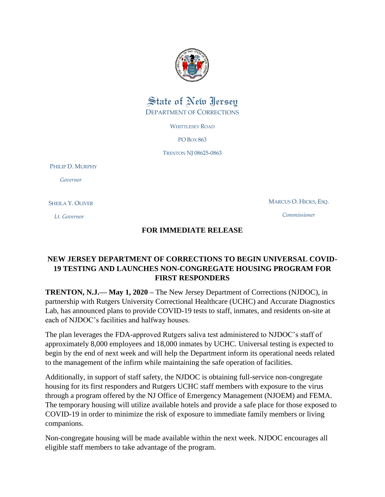

## State of New Jersey DEPARTMENT OF CORRECTIONS

WHITTLESEY ROAD

PO BOX 863

TRENTON NJ 08625-0863

PHILIP D. MURPHY

 *Governor*

SHEILA Y. OLIVER

 *Lt. Governor*

MARCUS O. HICKS, ESQ.

*Commissioner*

## **FOR IMMEDIATE RELEASE**

## **NEW JERSEY DEPARTMENT OF CORRECTIONS TO BEGIN UNIVERSAL COVID-19 TESTING AND LAUNCHES NON-CONGREGATE HOUSING PROGRAM FOR FIRST RESPONDERS**

**TRENTON, N.J.— May 1, 2020 –** The New Jersey Department of Corrections (NJDOC), in partnership with Rutgers University Correctional Healthcare (UCHC) and Accurate Diagnostics Lab, has announced plans to provide COVID-19 tests to staff, inmates, and residents on-site at each of NJDOC's facilities and halfway houses.

The plan leverages the FDA-approved Rutgers saliva test administered to NJDOC's staff of approximately 8,000 employees and 18,000 inmates by UCHC. Universal testing is expected to begin by the end of next week and will help the Department inform its operational needs related to the management of the infirm while maintaining the safe operation of facilities.

Additionally, in support of staff safety, the NJDOC is obtaining full-service non-congregate housing for its first responders and Rutgers UCHC staff members with exposure to the virus through a program offered by the NJ Office of Emergency Management (NJOEM) and FEMA. The temporary housing will utilize available hotels and provide a safe place for those exposed to COVID-19 in order to minimize the risk of exposure to immediate family members or living companions.

Non-congregate housing will be made available within the next week. NJDOC encourages all eligible staff members to take advantage of the program.